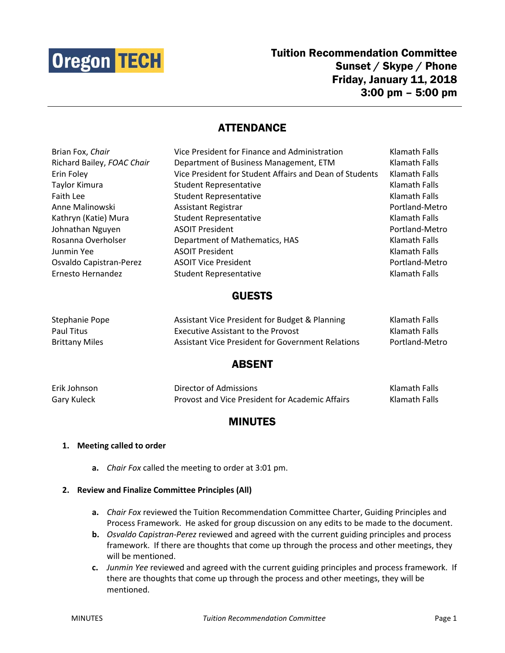

Tuition Recommendation Committee Sunset / Skype / Phone Friday, January 11, 2018 3:00 pm – 5:00 pm

# **ATTENDANCE**

| Brian Fox, Chair           | Vice President for Finance and Administration           | Klamath Falls  |
|----------------------------|---------------------------------------------------------|----------------|
| Richard Bailey, FOAC Chair | Department of Business Management, ETM                  | Klamath Falls  |
| Erin Foley                 | Vice President for Student Affairs and Dean of Students | Klamath Falls  |
| Taylor Kimura              | <b>Student Representative</b>                           | Klamath Falls  |
| Faith Lee                  | <b>Student Representative</b>                           | Klamath Falls  |
| Anne Malinowski            | <b>Assistant Registrar</b>                              | Portland-Metro |
| Kathryn (Katie) Mura       | <b>Student Representative</b>                           | Klamath Falls  |
| Johnathan Nguyen           | <b>ASOIT President</b>                                  | Portland-Metro |
| Rosanna Overholser         | Department of Mathematics, HAS                          | Klamath Falls  |
| Junmin Yee                 | <b>ASOIT President</b>                                  | Klamath Falls  |
| Osvaldo Capistran-Perez    | <b>ASOIT Vice President</b>                             | Portland-Metro |
| Ernesto Hernandez          | <b>Student Representative</b>                           | Klamath Falls  |

### GUESTS

| Stephanie Pope        | Assistant Vice President for Budget & Planning           | Klamath Falls  |
|-----------------------|----------------------------------------------------------|----------------|
| Paul Titus            | <b>Executive Assistant to the Provost</b>                | Klamath Falls  |
| <b>Brittany Miles</b> | <b>Assistant Vice President for Government Relations</b> | Portland-Metro |

## ABSENT

| Erik Johnson | Director of Admissions                          | Klamath Falls |
|--------------|-------------------------------------------------|---------------|
| Gary Kuleck  | Provost and Vice President for Academic Affairs | Klamath Falls |

# MINUTES

#### **1. Meeting called to order**

**a.** *Chair Fox* called the meeting to order at 3:01 pm.

#### **2. Review and Finalize Committee Principles (All)**

- **a.** *Chair Fox* reviewed the Tuition Recommendation Committee Charter, Guiding Principles and Process Framework. He asked for group discussion on any edits to be made to the document.
- **b.** *Osvaldo Capistran-Perez* reviewed and agreed with the current guiding principles and process framework. If there are thoughts that come up through the process and other meetings, they will be mentioned.
- **c.** *Junmin Yee* reviewed and agreed with the current guiding principles and process framework. If there are thoughts that come up through the process and other meetings, they will be mentioned.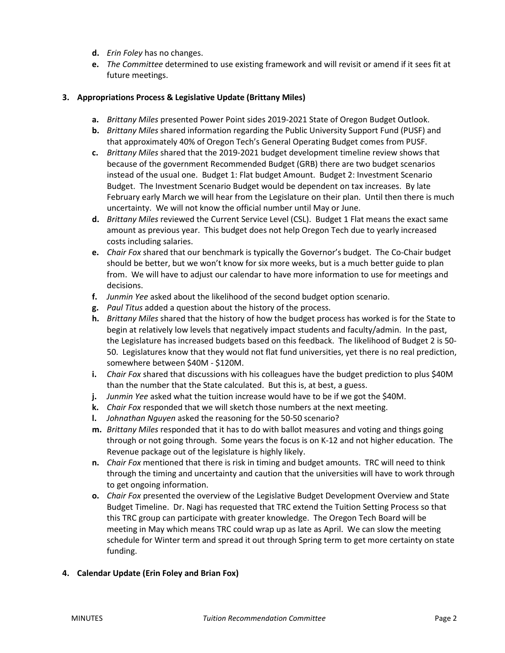- **d.** *Erin Foley* has no changes.
- **e.** *The Committee* determined to use existing framework and will revisit or amend if it sees fit at future meetings.

#### **3. Appropriations Process & Legislative Update (Brittany Miles)**

- **a.** *Brittany Miles* presented Power Point sides 2019-2021 State of Oregon Budget Outlook.
- **b.** *Brittany Miles* shared information regarding the Public University Support Fund (PUSF) and that approximately 40% of Oregon Tech's General Operating Budget comes from PUSF.
- **c.** *Brittany Miles* shared that the 2019-2021 budget development timeline review shows that because of the government Recommended Budget (GRB) there are two budget scenarios instead of the usual one. Budget 1: Flat budget Amount. Budget 2: Investment Scenario Budget. The Investment Scenario Budget would be dependent on tax increases. By late February early March we will hear from the Legislature on their plan. Until then there is much uncertainty. We will not know the official number until May or June.
- **d.** *Brittany Miles* reviewed the Current Service Level (CSL). Budget 1 Flat means the exact same amount as previous year. This budget does not help Oregon Tech due to yearly increased costs including salaries.
- **e.** *Chair Fox* shared that our benchmark is typically the Governor's budget. The Co-Chair budget should be better, but we won't know for six more weeks, but is a much better guide to plan from. We will have to adjust our calendar to have more information to use for meetings and decisions.
- **f.** *Junmin Yee* asked about the likelihood of the second budget option scenario.
- **g.** *Paul Titus* added a question about the history of the process.
- **h.** *Brittany Miles* shared that the history of how the budget process has worked is for the State to begin at relatively low levels that negatively impact students and faculty/admin. In the past, the Legislature has increased budgets based on this feedback. The likelihood of Budget 2 is 50- 50. Legislatures know that they would not flat fund universities, yet there is no real prediction, somewhere between \$40M - \$120M.
- **i.** *Chair Fox* shared that discussions with his colleagues have the budget prediction to plus \$40M than the number that the State calculated. But this is, at best, a guess.
- **j.** *Junmin Yee* asked what the tuition increase would have to be if we got the \$40M.
- **k.** *Chair Fox* responded that we will sketch those numbers at the next meeting.
- **l.** *Johnathan Nguyen* asked the reasoning for the 50-50 scenario?
- **m.** *Brittany Miles* responded that it has to do with ballot measures and voting and things going through or not going through. Some years the focus is on K-12 and not higher education. The Revenue package out of the legislature is highly likely.
- **n.** *Chair Fox* mentioned that there is risk in timing and budget amounts. TRC will need to think through the timing and uncertainty and caution that the universities will have to work through to get ongoing information.
- **o.** *Chair Fox* presented the overview of the Legislative Budget Development Overview and State Budget Timeline. Dr. Nagi has requested that TRC extend the Tuition Setting Process so that this TRC group can participate with greater knowledge. The Oregon Tech Board will be meeting in May which means TRC could wrap up as late as April. We can slow the meeting schedule for Winter term and spread it out through Spring term to get more certainty on state funding.

### **4. Calendar Update (Erin Foley and Brian Fox)**